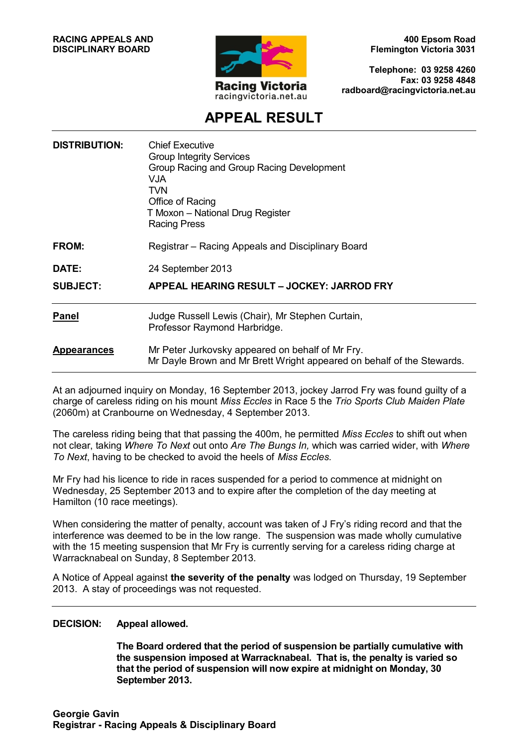

**400 Epsom Road Flemington Victoria 3031**

**Telephone: 03 9258 4260 Fax: 03 9258 4848 radboard@racingvictoria.net.au**

## **APPEAL RESULT**

| <b>DISTRIBUTION:</b> | <b>Chief Executive</b><br><b>Group Integrity Services</b><br>Group Racing and Group Racing Development<br>VJA.<br><b>TVN</b><br>Office of Racing<br>T Moxon - National Drug Register<br><b>Racing Press</b> |
|----------------------|-------------------------------------------------------------------------------------------------------------------------------------------------------------------------------------------------------------|
| FROM:                | Registrar – Racing Appeals and Disciplinary Board                                                                                                                                                           |
| DATE:                | 24 September 2013                                                                                                                                                                                           |
| <b>SUBJECT:</b>      | APPEAL HEARING RESULT - JOCKEY: JARROD FRY                                                                                                                                                                  |
| <b>Panel</b>         | Judge Russell Lewis (Chair), Mr Stephen Curtain,<br>Professor Raymond Harbridge.                                                                                                                            |
| <b>Appearances</b>   | Mr Peter Jurkovsky appeared on behalf of Mr Fry.<br>Mr Dayle Brown and Mr Brett Wright appeared on behalf of the Stewards.                                                                                  |
|                      |                                                                                                                                                                                                             |

At an adjourned inquiry on Monday, 16 September 2013, jockey Jarrod Fry was found guilty of a charge of careless riding on his mount *Miss Eccles* in Race 5 the *Trio Sports Club Maiden Plate* (2060m) at Cranbourne on Wednesday, 4 September 2013.

The careless riding being that that passing the 400m, he permitted *Miss Eccles* to shift out when not clear, taking *Where To Next* out onto *Are The Bungs In,* which was carried wider, with *Where To Next*, having to be checked to avoid the heels of *Miss Eccles.*

Mr Fry had his licence to ride in races suspended for a period to commence at midnight on Wednesday, 25 September 2013 and to expire after the completion of the day meeting at Hamilton (10 race meetings).

When considering the matter of penalty, account was taken of J Fry's riding record and that the interference was deemed to be in the low range. The suspension was made wholly cumulative with the 15 meeting suspension that Mr Fry is currently serving for a careless riding charge at Warracknabeal on Sunday, 8 September 2013.

A Notice of Appeal against **the severity of the penalty** was lodged on Thursday, 19 September 2013. A stay of proceedings was not requested.

#### **DECISION: Appeal allowed.**

**The Board ordered that the period of suspension be partially cumulative with the suspension imposed at Warracknabeal. That is, the penalty is varied so that the period of suspension will now expire at midnight on Monday, 30 September 2013.**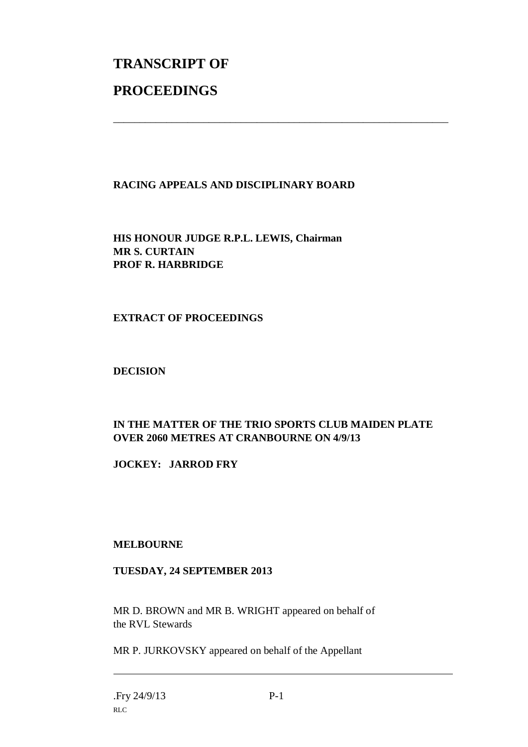# **TRANSCRIPT OF PROCEEDINGS**

#### **RACING APPEALS AND DISCIPLINARY BOARD**

\_\_\_\_\_\_\_\_\_\_\_\_\_\_\_\_\_\_\_\_\_\_\_\_\_\_\_\_\_\_\_\_\_\_\_\_\_\_\_\_\_\_\_\_\_\_\_\_\_\_\_\_\_\_\_\_\_\_\_\_\_\_\_

**HIS HONOUR JUDGE R.P.L. LEWIS, Chairman MR S. CURTAIN PROF R. HARBRIDGE**

#### **EXTRACT OF PROCEEDINGS**

#### **DECISION**

### **IN THE MATTER OF THE TRIO SPORTS CLUB MAIDEN PLATE OVER 2060 METRES AT CRANBOURNE ON 4/9/13**

**JOCKEY: JARROD FRY**

#### **MELBOURNE**

#### **TUESDAY, 24 SEPTEMBER 2013**

MR D. BROWN and MR B. WRIGHT appeared on behalf of the RVL Stewards

MR P. JURKOVSKY appeared on behalf of the Appellant